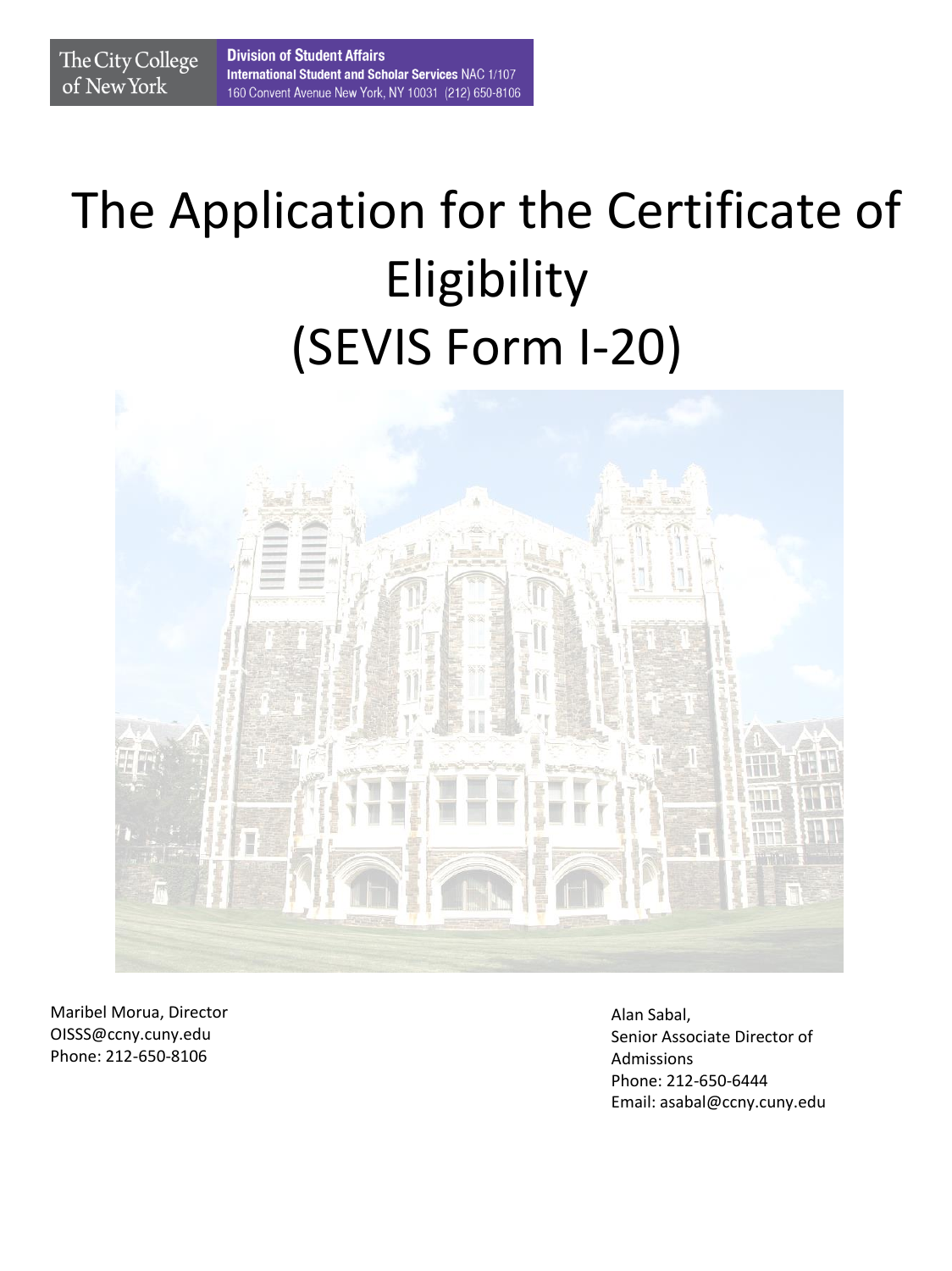# The Application for the Certificate of Eligibility (SEVIS Form I-20)



Maribel Morua, Director OISSS@ccny.cuny.edu Phone: 212-650-8106

The City College

of New York

Alan Sabal, Senior Associate Director of Admissions Phone: 212-650-6444 Email: asabal@ccny.cuny.edu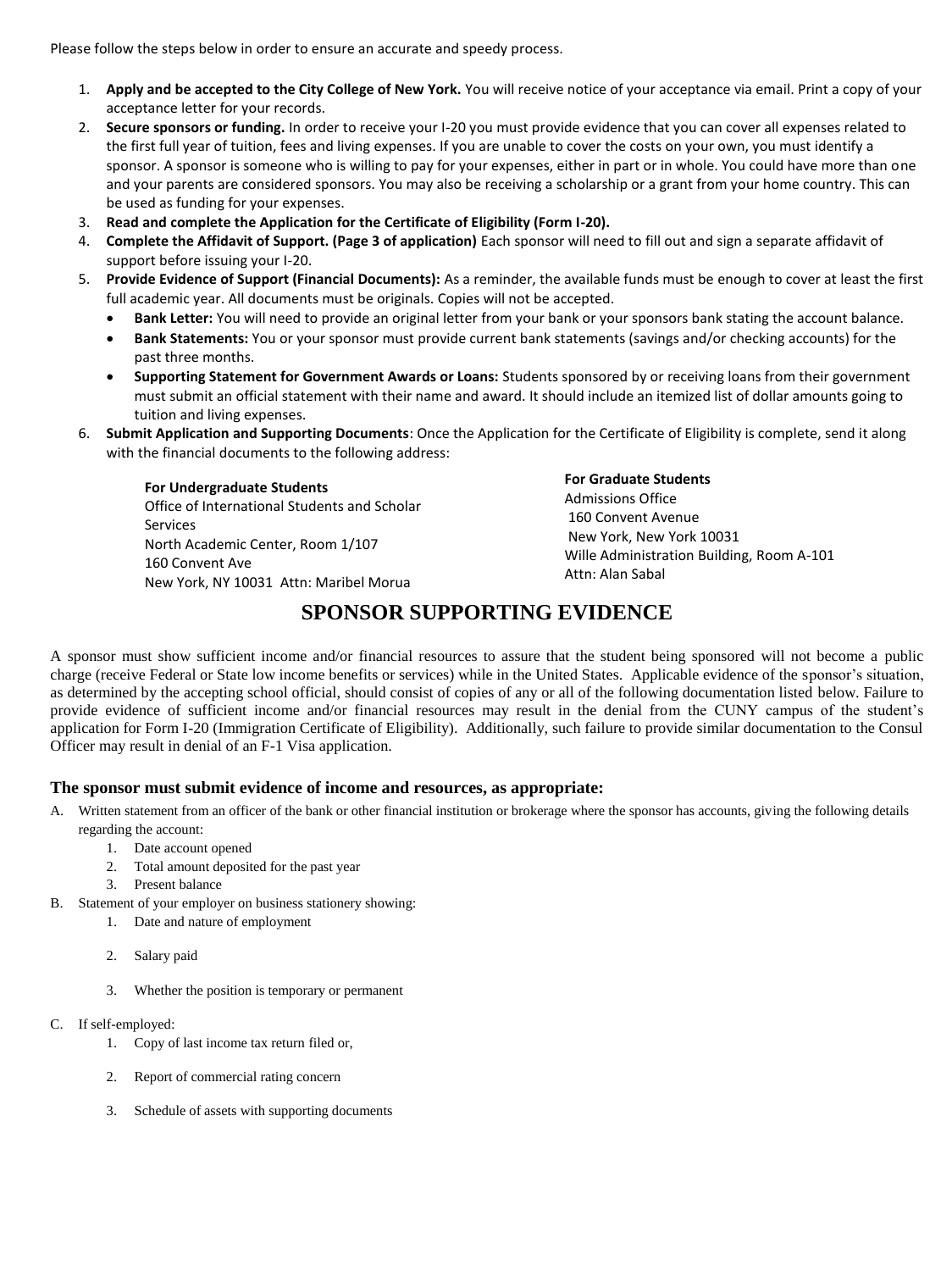Please follow the steps below in order to ensure an accurate and speedy process.

- 1. **Apply and be accepted to the City College of New York.** You will receive notice of your acceptance via email. Print a copy of your acceptance letter for your records.
- 2. **Secure sponsors or funding.** In order to receive your I-20 you must provide evidence that you can cover all expenses related to the first full year of tuition, fees and living expenses. If you are unable to cover the costs on your own, you must identify a sponsor. A sponsor is someone who is willing to pay for your expenses, either in part or in whole. You could have more than one and your parents are considered sponsors. You may also be receiving a scholarship or a grant from your home country. This can be used as funding for your expenses.
- 3. **Read and complete the Application for the Certificate of Eligibility (Form I-20).**
- 4. **Complete the Affidavit of Support. (Page 3 of application)** Each sponsor will need to fill out and sign a separate affidavit of support before issuing your I-20.
- 5. **Provide Evidence of Support (Financial Documents):** As a reminder, the available funds must be enough to cover at least the first full academic year. All documents must be originals. Copies will not be accepted.
	- **Bank Letter:** You will need to provide an original letter from your bank or your sponsors bank stating the account balance.
	- **Bank Statements:** You or your sponsor must provide current bank statements (savings and/or checking accounts) for the past three months.
	- **Supporting Statement for Government Awards or Loans:** Students sponsored by or receiving loans from their government must submit an official statement with their name and award. It should include an itemized list of dollar amounts going to tuition and living expenses.
- 6. **Submit Application and Supporting Documents**: Once the Application for the Certificate of Eligibility is complete, send it along with the financial documents to the following address:

**For Undergraduate Students**

Office of International Students and Scholar Services North Academic Center, Room 1/107 160 Convent Ave New York, NY 10031 Attn: Maribel Morua

**For Graduate Students** Admissions Office 160 Convent Avenue New York, New York 10031 Wille Administration Building, Room A-101 Attn: Alan Sabal

# **SPONSOR SUPPORTING EVIDENCE**

A sponsor must show sufficient income and/or financial resources to assure that the student being sponsored will not become a public charge (receive Federal or State low income benefits or services) while in the United States. Applicable evidence of the sponsor's situation, as determined by the accepting school official, should consist of copies of any or all of the following documentation listed below. Failure to provide evidence of sufficient income and/or financial resources may result in the denial from the CUNY campus of the student's application for Form I-20 (Immigration Certificate of Eligibility). Additionally, such failure to provide similar documentation to the Consul Officer may result in denial of an F-1 Visa application.

## **The sponsor must submit evidence of income and resources, as appropriate:**

- A. Written statement from an officer of the bank or other financial institution or brokerage where the sponsor has accounts, giving the following details regarding the account:
	- 1. Date account opened
	- 2. Total amount deposited for the past year
	- 3. Present balance
- B. Statement of your employer on business stationery showing:
	- 1. Date and nature of employment
	- 2. Salary paid
	- 3. Whether the position is temporary or permanent
- C. If self-employed:
	- 1. Copy of last income tax return filed or,
	- 2. Report of commercial rating concern
	- 3. Schedule of assets with supporting documents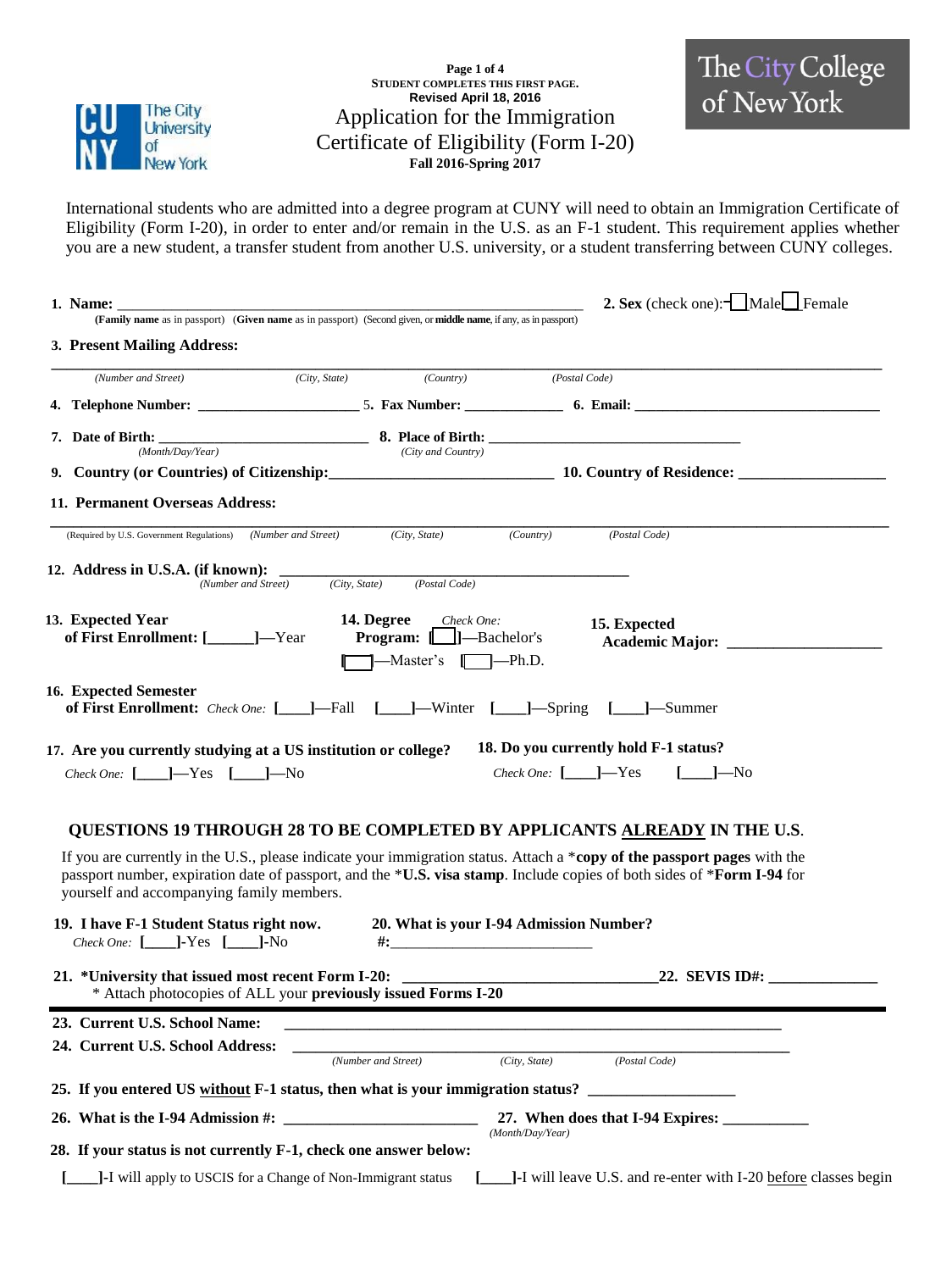

**Page 1 of 4 STUDENT COMPLETES THIS FIRST PAGE. Revised April 18, 2016** Application for the Immigration Certificate of Eligibility (Form I-20) **Fall 2016-Spring 2017**



International students who are admitted into a degree program at CUNY will need to obtain an Immigration Certificate of Eligibility (Form I-20), in order to enter and/or remain in the U.S. as an F-1 student. This requirement applies whether you are a new student, a transfer student from another U.S. university, or a student transferring between CUNY colleges.

| 1. Name:                                                                                   | (Family name as in passport) (Given name as in passport) (Second given, or middle name, if any, as in passport) | 2. Sex (check one): $\Box$ Male $\Box$ Female                                                                                                                                                                                                      |
|--------------------------------------------------------------------------------------------|-----------------------------------------------------------------------------------------------------------------|----------------------------------------------------------------------------------------------------------------------------------------------------------------------------------------------------------------------------------------------------|
| 3. Present Mailing Address:                                                                |                                                                                                                 |                                                                                                                                                                                                                                                    |
| (Number and Street)                                                                        | (City, State)                                                                                                   | (Country) (Postal Code)                                                                                                                                                                                                                            |
|                                                                                            |                                                                                                                 |                                                                                                                                                                                                                                                    |
| (Month/Day/Year)                                                                           | (City and Country)                                                                                              |                                                                                                                                                                                                                                                    |
|                                                                                            |                                                                                                                 | 9. Country (or Countries) of Citizenship: 10. Country of Residence: 10. Country of Residence:                                                                                                                                                      |
| 11. Permanent Overseas Address:                                                            |                                                                                                                 |                                                                                                                                                                                                                                                    |
| (Required by U.S. Government Regulations)                                                  | (Number and Street)<br>(City, State)                                                                            | (Country)<br>(Postal Code)                                                                                                                                                                                                                         |
| 12. Address in U.S.A. (if known): _____<br>(Number and Street)                             | (City, State)<br>(Postal Code)                                                                                  |                                                                                                                                                                                                                                                    |
| 13. Expected Year<br>of First Enrollment: [______]—Year                                    | <b>14. Degree</b> Check One:<br><b>Program:</b> [1]—Bachelor's<br>——Master's <b>[</b> ——Ph.D.                   | 15. Expected                                                                                                                                                                                                                                       |
| 16. Expected Semester                                                                      |                                                                                                                 | of First Enrollment: Check One: [____]—Fall [____]—Winter [____]—Spring [____]—Summer                                                                                                                                                              |
| 17. Are you currently studying at a US institution or college?                             |                                                                                                                 | 18. Do you currently hold F-1 status?                                                                                                                                                                                                              |
| Check One: $[-]$ $-Y$ es $[-]$ $-N$ o                                                      |                                                                                                                 | Check One: $[ ]-$ Yes $[-]$ $-$ No                                                                                                                                                                                                                 |
|                                                                                            |                                                                                                                 | <b>QUESTIONS 19 THROUGH 28 TO BE COMPLETED BY APPLICANTS ALREADY IN THE U.S.</b>                                                                                                                                                                   |
| yourself and accompanying family members.                                                  |                                                                                                                 | If you are currently in the U.S., please indicate your immigration status. Attach a *copy of the passport pages with the<br>passport number, expiration date of passport, and the *U.S. visa stamp. Include copies of both sides of *Form I-94 for |
| 19. I have F-1 Student Status right now.<br><i>Check One:</i> $[\_\_\]$ -Yes $[\_\_\]$ -No |                                                                                                                 | 20. What is your I-94 Admission Number?                                                                                                                                                                                                            |
|                                                                                            | Attach photocopies of ALL your previously issued Forms I-20                                                     | 21. *University that issued most recent Form I-20: $\qquad \qquad$ 22. SEVIS ID#:                                                                                                                                                                  |
| 23. Current U.S. School Name:                                                              |                                                                                                                 |                                                                                                                                                                                                                                                    |
| 24. Current U.S. School Address:                                                           | (Number and Street) (City, State)                                                                               | (City, State)<br>(Postal Code)                                                                                                                                                                                                                     |
|                                                                                            |                                                                                                                 | 25. If you entered US without F-1 status, then what is your immigration status?                                                                                                                                                                    |
|                                                                                            |                                                                                                                 |                                                                                                                                                                                                                                                    |
| 28. If your status is not currently F-1, check one answer below:                           |                                                                                                                 | (Month/Day/Year)                                                                                                                                                                                                                                   |
|                                                                                            | J-I will apply to USCIS for a Change of Non-Immigrant status                                                    | J-I will leave U.S. and re-enter with I-20 before classes begin                                                                                                                                                                                    |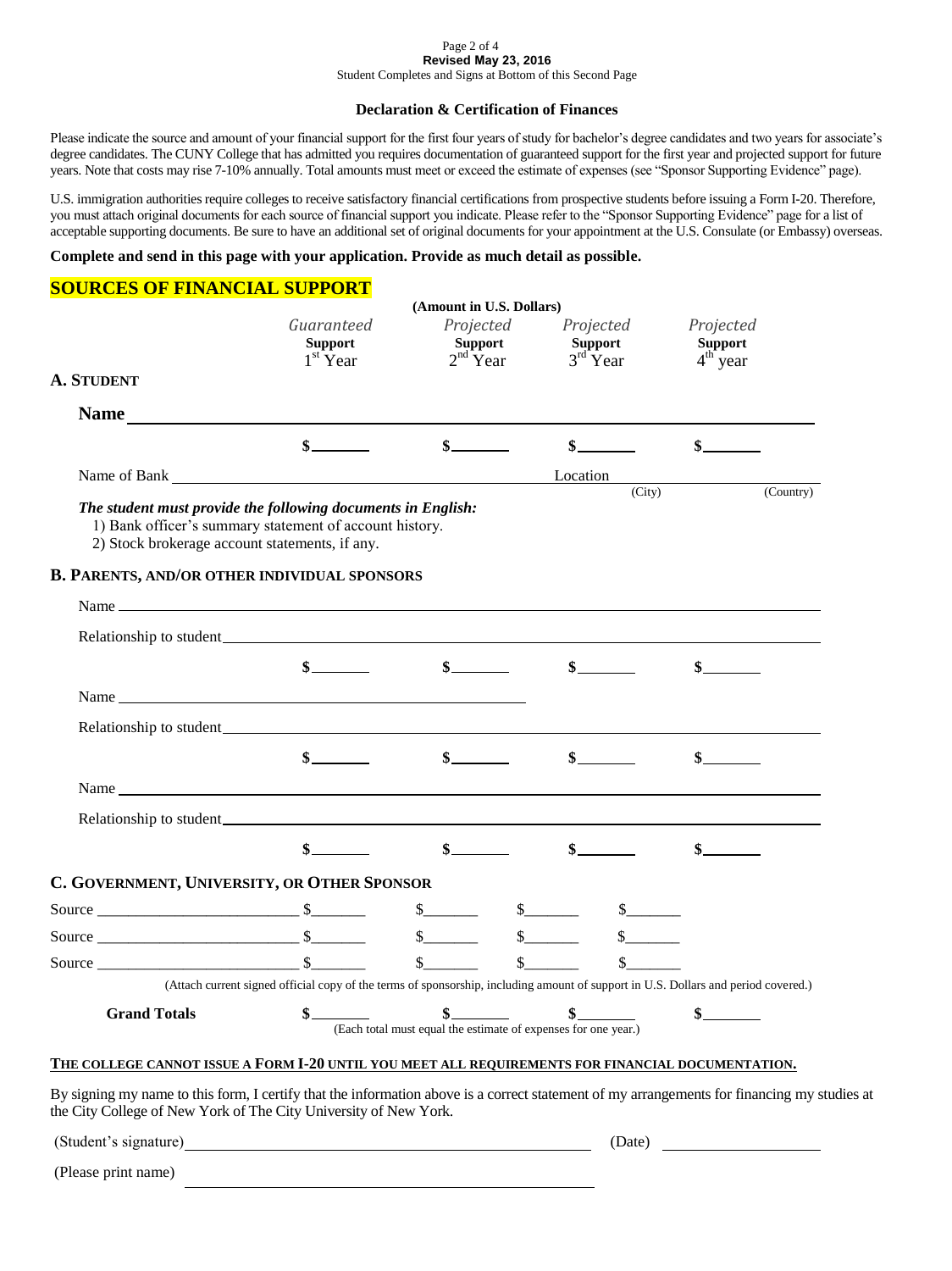#### Page 2 of 4 **Revised May 23, 2016** Student Completes and Signs at Bottom of this Second Page

**Declaration & Certification of Finances** 

Please indicate the source and amount of your financial support for the first four years of study for bachelor's degree candidates and two years for associate's degree candidates. The CUNY College that has admitted you requires documentation of guaranteed support for the first year and projected support for future years. Note that costs may rise 7-10% annually. Total amounts must meet or exceed the estimate of expenses (see "Sponsor Supporting Evidence" page).

U.S. immigration authorities require colleges to receive satisfactory financial certifications from prospective students before issuing a Form I-20. Therefore, you must attach original documents for each source of financial support you indicate. Please refer to the "Sponsor Supporting Evidence" page for a list of acceptable supporting documents. Be sure to have an additional set of original documents for your appointment at the U.S. Consulate (or Embassy) overseas.

## **Complete and send in this page with your application. Provide as much detail as possible.**

# **SOURCES OF FINANCIAL SUPPORT**

| Guaranteed<br><b>Support</b><br>$1st$ Year     | Projected<br>Support                                                                                                                                                                                                                                                                                                                                                         | Projected                                                                                                                                                                                                                     | Projected                                                                                                                                                                                                                                               |                                                                                                                                                                                                                                                                                                                       |
|------------------------------------------------|------------------------------------------------------------------------------------------------------------------------------------------------------------------------------------------------------------------------------------------------------------------------------------------------------------------------------------------------------------------------------|-------------------------------------------------------------------------------------------------------------------------------------------------------------------------------------------------------------------------------|---------------------------------------------------------------------------------------------------------------------------------------------------------------------------------------------------------------------------------------------------------|-----------------------------------------------------------------------------------------------------------------------------------------------------------------------------------------------------------------------------------------------------------------------------------------------------------------------|
|                                                | $2nd$ Year                                                                                                                                                                                                                                                                                                                                                                   | Support<br>$3rd$ Year                                                                                                                                                                                                         | <b>Support</b><br>$4th$ year                                                                                                                                                                                                                            |                                                                                                                                                                                                                                                                                                                       |
|                                                |                                                                                                                                                                                                                                                                                                                                                                              |                                                                                                                                                                                                                               |                                                                                                                                                                                                                                                         |                                                                                                                                                                                                                                                                                                                       |
|                                                |                                                                                                                                                                                                                                                                                                                                                                              |                                                                                                                                                                                                                               |                                                                                                                                                                                                                                                         |                                                                                                                                                                                                                                                                                                                       |
| $\frac{1}{2}$                                  |                                                                                                                                                                                                                                                                                                                                                                              | $\frac{1}{2}$                                                                                                                                                                                                                 | $\frac{1}{2}$                                                                                                                                                                                                                                           |                                                                                                                                                                                                                                                                                                                       |
|                                                |                                                                                                                                                                                                                                                                                                                                                                              | Location                                                                                                                                                                                                                      |                                                                                                                                                                                                                                                         |                                                                                                                                                                                                                                                                                                                       |
| 2) Stock brokerage account statements, if any. |                                                                                                                                                                                                                                                                                                                                                                              |                                                                                                                                                                                                                               |                                                                                                                                                                                                                                                         | (Country)                                                                                                                                                                                                                                                                                                             |
|                                                |                                                                                                                                                                                                                                                                                                                                                                              |                                                                                                                                                                                                                               |                                                                                                                                                                                                                                                         |                                                                                                                                                                                                                                                                                                                       |
|                                                |                                                                                                                                                                                                                                                                                                                                                                              |                                                                                                                                                                                                                               |                                                                                                                                                                                                                                                         |                                                                                                                                                                                                                                                                                                                       |
|                                                |                                                                                                                                                                                                                                                                                                                                                                              |                                                                                                                                                                                                                               |                                                                                                                                                                                                                                                         |                                                                                                                                                                                                                                                                                                                       |
|                                                | $s$ <sub>—</sub>                                                                                                                                                                                                                                                                                                                                                             |                                                                                                                                                                                                                               |                                                                                                                                                                                                                                                         |                                                                                                                                                                                                                                                                                                                       |
|                                                |                                                                                                                                                                                                                                                                                                                                                                              |                                                                                                                                                                                                                               |                                                                                                                                                                                                                                                         |                                                                                                                                                                                                                                                                                                                       |
|                                                |                                                                                                                                                                                                                                                                                                                                                                              |                                                                                                                                                                                                                               |                                                                                                                                                                                                                                                         |                                                                                                                                                                                                                                                                                                                       |
|                                                |                                                                                                                                                                                                                                                                                                                                                                              |                                                                                                                                                                                                                               |                                                                                                                                                                                                                                                         |                                                                                                                                                                                                                                                                                                                       |
|                                                |                                                                                                                                                                                                                                                                                                                                                                              |                                                                                                                                                                                                                               |                                                                                                                                                                                                                                                         |                                                                                                                                                                                                                                                                                                                       |
|                                                |                                                                                                                                                                                                                                                                                                                                                                              |                                                                                                                                                                                                                               |                                                                                                                                                                                                                                                         |                                                                                                                                                                                                                                                                                                                       |
| $\sim$                                         |                                                                                                                                                                                                                                                                                                                                                                              |                                                                                                                                                                                                                               |                                                                                                                                                                                                                                                         |                                                                                                                                                                                                                                                                                                                       |
|                                                |                                                                                                                                                                                                                                                                                                                                                                              |                                                                                                                                                                                                                               |                                                                                                                                                                                                                                                         |                                                                                                                                                                                                                                                                                                                       |
|                                                | $\frac{\S_{\frac{1}{2}}}{\S_{\frac{1}{2}}}{\S_{\frac{1}{2}}}{\S_{\frac{1}{2}}}{\S_{\frac{1}{2}}}{\S_{\frac{1}{2}}}{\S_{\frac{1}{2}}}{\S_{\frac{1}{2}}}{\S_{\frac{1}{2}}}{\S_{\frac{1}{2}}}{\S_{\frac{1}{2}}}{\S_{\frac{1}{2}}}{\S_{\frac{1}{2}}}{\S_{\frac{1}{2}}}{\S_{\frac{1}{2}}}{\S_{\frac{1}{2}}}{\S_{\frac{1}{2}}}{\S_{\frac{1}{2}}}{\S_{\frac{1}{2}}}{\S_{\frac{1}{2$ |                                                                                                                                                                                                                               |                                                                                                                                                                                                                                                         |                                                                                                                                                                                                                                                                                                                       |
|                                                |                                                                                                                                                                                                                                                                                                                                                                              |                                                                                                                                                                                                                               |                                                                                                                                                                                                                                                         |                                                                                                                                                                                                                                                                                                                       |
|                                                |                                                                                                                                                                                                                                                                                                                                                                              |                                                                                                                                                                                                                               |                                                                                                                                                                                                                                                         |                                                                                                                                                                                                                                                                                                                       |
|                                                |                                                                                                                                                                                                                                                                                                                                                                              |                                                                                                                                                                                                                               |                                                                                                                                                                                                                                                         |                                                                                                                                                                                                                                                                                                                       |
|                                                |                                                                                                                                                                                                                                                                                                                                                                              |                                                                                                                                                                                                                               |                                                                                                                                                                                                                                                         |                                                                                                                                                                                                                                                                                                                       |
|                                                |                                                                                                                                                                                                                                                                                                                                                                              |                                                                                                                                                                                                                               | THE COLLEGE CANNOT ISSUE A FORM I-20 UNTIL YOU MEET ALL REQUIREMENTS FOR FINANCIAL DOCUMENTATION,                                                                                                                                                       |                                                                                                                                                                                                                                                                                                                       |
|                                                |                                                                                                                                                                                                                                                                                                                                                                              | The student must provide the following documents in English:<br>1) Bank officer's summary statement of account history.<br><b>B. PARENTS, AND/OR OTHER INDIVIDUAL SPONSORS</b><br>C. GOVERNMENT, UNIVERSITY, OR OTHER SPONSOR | Name of Bank League and Secretary and Secretary and Secretary and Secretary and Secretary and Secretary and Secretary and Secretary and Secretary and Secretary and Secretary and Secretary and Secretary and Secretary and Se<br>$\frac{\cdot}{\cdot}$ | (City)<br>Name $\frac{1}{\sqrt{1-\frac{1}{2}}}\left\vert \frac{1}{\sqrt{1-\frac{1}{2}}}\right\vert$<br>$\sim$<br>(Attach current signed official copy of the terms of sponsorship, including amount of support in U.S. Dollars and period covered.)<br>(Each total must equal the estimate of expenses for one year.) |

(Please print name)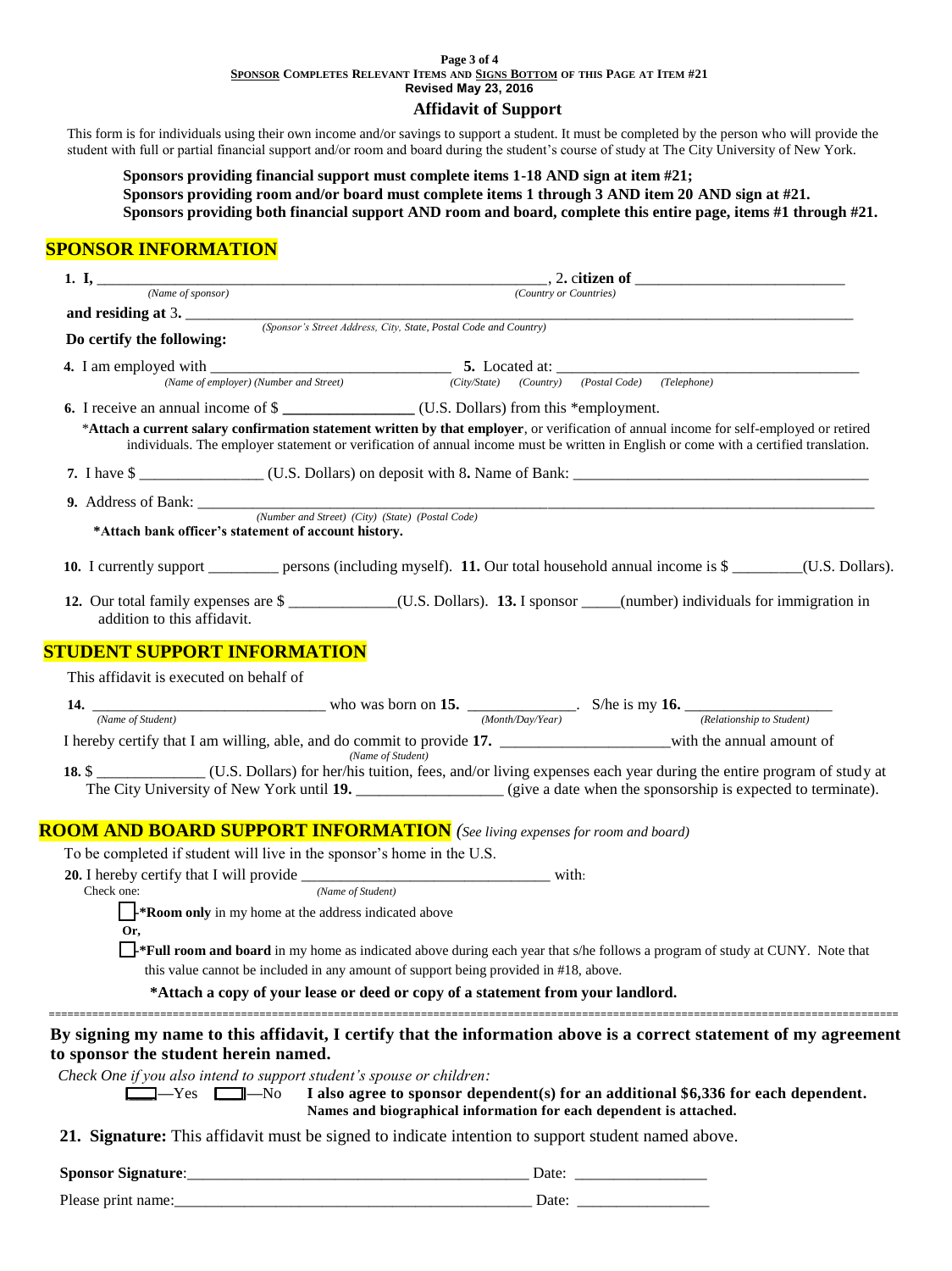#### **Page 3 of 4 SPONSOR COMPLETES RELEVANT ITEMS AND SIGNS BOTTOM OF THIS PAGE AT ITEM #21 Revised May 23, 2016**

## **Affidavit of Support**

This form is for individuals using their own income and/or savings to support a student. It must be completed by the person who will provide the student with full or partial financial support and/or room and board during the student's course of study at The City University of New York.

**Sponsors providing financial support must complete items 1-18 AND sign at item #21; Sponsors providing room and/or board must complete items 1 through 3 AND item 20 AND sign at #21. Sponsors providing both financial support AND room and board, complete this entire page, items #1 through #21.**

# **SPONSOR INFORMATION**

|                                                                                    | 1. I, $\frac{1}{\frac{Name \ of \ sponsor)}{Name \ of \ sponsor}}$ , 2. citizen of $\frac{1}{\frac{Name \ of \ sponsor}{N}}$                                                                                                                                                     |  |  |  |
|------------------------------------------------------------------------------------|----------------------------------------------------------------------------------------------------------------------------------------------------------------------------------------------------------------------------------------------------------------------------------|--|--|--|
| and residing at 3.                                                                 | (Country or Countries)                                                                                                                                                                                                                                                           |  |  |  |
|                                                                                    | (Sponsor's Street Address, City, State, Postal Code and Country)                                                                                                                                                                                                                 |  |  |  |
| Do certify the following:                                                          |                                                                                                                                                                                                                                                                                  |  |  |  |
|                                                                                    | <b>4.</b> I am employed with<br>(Name of employer) (Number and Street)<br>(City/State) (Country) (Postal Code) (Telephone) (Postal Code)                                                                                                                                         |  |  |  |
|                                                                                    |                                                                                                                                                                                                                                                                                  |  |  |  |
| 6. I receive an annual income of \$                                                |                                                                                                                                                                                                                                                                                  |  |  |  |
|                                                                                    | *Attach a current salary confirmation statement written by that employer, or verification of annual income for self-employed or retired<br>individuals. The employer statement or verification of annual income must be written in English or come with a certified translation. |  |  |  |
|                                                                                    |                                                                                                                                                                                                                                                                                  |  |  |  |
|                                                                                    |                                                                                                                                                                                                                                                                                  |  |  |  |
| *Attach bank officer's statement of account history.                               |                                                                                                                                                                                                                                                                                  |  |  |  |
|                                                                                    | 10. I currently support __________ persons (including myself). 11. Our total household annual income is \$________(U.S. Dollars).                                                                                                                                                |  |  |  |
| addition to this affidavit.                                                        | 12. Our total family expenses are \$ ____________(U.S. Dollars). 13. I sponsor ____(number) individuals for immigration in                                                                                                                                                       |  |  |  |
| <b>STUDENT SUPPORT INFORMATION</b>                                                 |                                                                                                                                                                                                                                                                                  |  |  |  |
| This affidavit is executed on behalf of                                            |                                                                                                                                                                                                                                                                                  |  |  |  |
|                                                                                    | 14. $\frac{1}{(Name of Student)}$ who was born on 15. $\frac{1}{(Month/Day/Year)}$ . S/he is my 16. $\frac{1}{(Relationship to Student)}$                                                                                                                                        |  |  |  |
|                                                                                    |                                                                                                                                                                                                                                                                                  |  |  |  |
|                                                                                    | I hereby certify that I am willing, able, and do commit to provide 17. ___________________with the annual amount of                                                                                                                                                              |  |  |  |
|                                                                                    | (Name of Student)                                                                                                                                                                                                                                                                |  |  |  |
|                                                                                    |                                                                                                                                                                                                                                                                                  |  |  |  |
| <b>ROOM AND BOARD SUPPORT INFORMATION</b> (See living expenses for room and board) |                                                                                                                                                                                                                                                                                  |  |  |  |
| To be completed if student will live in the sponsor's home in the U.S.             |                                                                                                                                                                                                                                                                                  |  |  |  |
|                                                                                    |                                                                                                                                                                                                                                                                                  |  |  |  |
| (Name of Student)<br>Check one:                                                    |                                                                                                                                                                                                                                                                                  |  |  |  |
| $\frac{1}{2}$ <b>Room only</b> in my home at the address indicated above           |                                                                                                                                                                                                                                                                                  |  |  |  |
| Or.                                                                                |                                                                                                                                                                                                                                                                                  |  |  |  |
|                                                                                    | Full room and board in my home as indicated above during each year that s/he follows a program of study at CUNY. Note that                                                                                                                                                       |  |  |  |
|                                                                                    | this value cannot be included in any amount of support being provided in #18, above.                                                                                                                                                                                             |  |  |  |
|                                                                                    | *Attach a copy of your lease or deed or copy of a statement from your landlord.                                                                                                                                                                                                  |  |  |  |
| to sponsor the student herein named.                                               | By signing my name to this affidavit, I certify that the information above is a correct statement of my agreement                                                                                                                                                                |  |  |  |
| Check One if you also intend to support student's spouse or children:              |                                                                                                                                                                                                                                                                                  |  |  |  |
| $\Box$ - Yes $\Box$ - No                                                           | I also agree to sponsor dependent(s) for an additional \$6,336 for each dependent.<br>Names and biographical information for each dependent is attached.                                                                                                                         |  |  |  |
|                                                                                    | 21 Signature: This affidavit must be signed to indicate intention to support student named above                                                                                                                                                                                 |  |  |  |

**21. Signature:** This affidavit must be signed to indicate intention to support student named above.

**Sponsor Signature**:\_\_\_\_\_\_\_\_\_\_\_\_\_\_\_\_\_\_\_\_\_\_\_\_\_\_\_\_\_\_\_\_\_\_\_\_\_\_\_\_\_\_\_\_ Date: \_\_\_\_\_\_\_\_\_\_\_\_\_\_\_\_\_

Please print name:\_\_\_\_\_\_\_\_\_\_\_\_\_\_\_\_\_\_\_\_\_\_\_\_\_\_\_\_\_\_\_\_\_\_\_\_\_\_\_\_\_\_\_\_\_\_ Date: \_\_\_\_\_\_\_\_\_\_\_\_\_\_\_\_\_